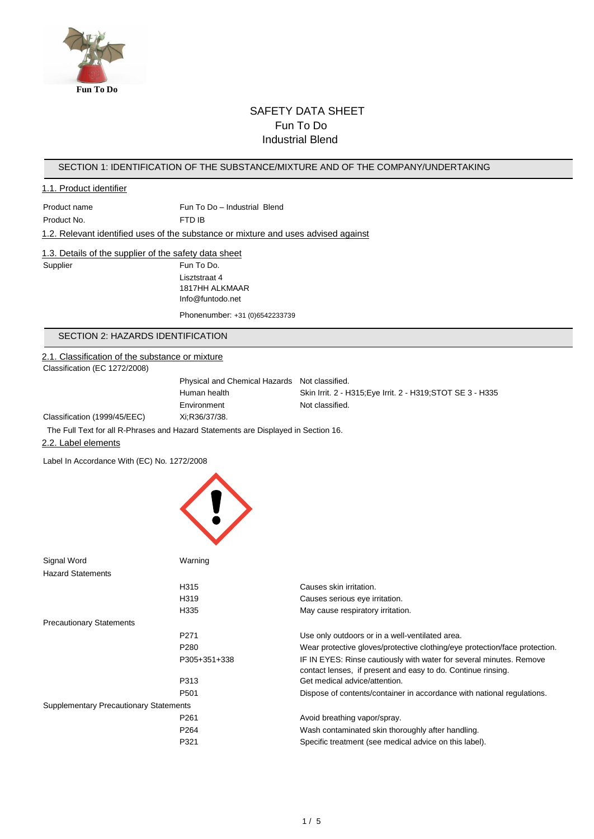

# SAFETY DATA SHEET Fun To Do Industrial Blend

#### SECTION 1: IDENTIFICATION OF THE SUBSTANCE/MIXTURE AND OF THE COMPANY/UNDERTAKING

#### 1.1. Product identifier

Product name Fun To Do – Industrial Blend Product No. 6 FTD IB

### 1.2. Relevant identified uses of the substance or mixture and uses advised against

### 1.3. Details of the supplier of the safety data sheet

Supplier Fun To Do. Lisztstraat 4 1817HH ALKMAAR Info@funtodo.net

Phonenumber: +31 (0)6542233739

### SECTION 2: HAZARDS IDENTIFICATION

#### 2.1. Classification of the substance or mixture

Classification (EC 1272/2008)

Physical and Chemical Hazards Not classified. Human health Skin Irrit. 2 - H315;Eye Irrit. 2 - H319;STOT SE 3 - H335 Environment Not classified.

Classification (1999/45/EEC) Xi;R36/37/38.

The Full Text for all R-Phrases and Hazard Statements are Displayed in Section 16.

#### 2.2. Label elements

Label In Accordance With (EC) No. 1272/2008



| Signal Word                                   | Warning          |                                                                                                                                     |
|-----------------------------------------------|------------------|-------------------------------------------------------------------------------------------------------------------------------------|
| <b>Hazard Statements</b>                      |                  |                                                                                                                                     |
|                                               | H <sub>315</sub> | Causes skin irritation.                                                                                                             |
|                                               | H319             | Causes serious eye irritation.                                                                                                      |
|                                               | H335             | May cause respiratory irritation.                                                                                                   |
| <b>Precautionary Statements</b>               |                  |                                                                                                                                     |
|                                               | P <sub>271</sub> | Use only outdoors or in a well-ventilated area.                                                                                     |
|                                               | P <sub>280</sub> | Wear protective gloves/protective clothing/eye protection/face protection.                                                          |
|                                               | P305+351+338     | IF IN EYES: Rinse cautiously with water for several minutes. Remove<br>contact lenses, if present and easy to do. Continue rinsing. |
|                                               | P313             | Get medical advice/attention.                                                                                                       |
|                                               | P <sub>501</sub> | Dispose of contents/container in accordance with national regulations.                                                              |
| <b>Supplementary Precautionary Statements</b> |                  |                                                                                                                                     |
|                                               | P <sub>261</sub> | Avoid breathing vapor/spray.                                                                                                        |
|                                               | P <sub>264</sub> | Wash contaminated skin thoroughly after handling.                                                                                   |
|                                               | P321             | Specific treatment (see medical advice on this label).                                                                              |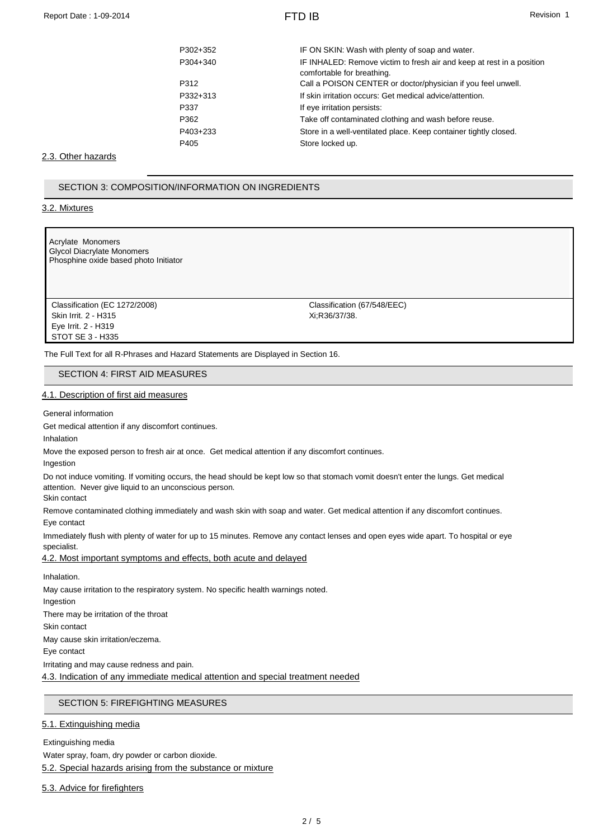| P302+352 | IF ON SKIN: Wash with plenty of soap and water.                                                     |
|----------|-----------------------------------------------------------------------------------------------------|
| P304+340 | IF INHALED: Remove victim to fresh air and keep at rest in a position<br>comfortable for breathing. |
| P312     | Call a POISON CENTER or doctor/physician if you feel unwell.                                        |
| P332+313 | If skin irritation occurs: Get medical advice/attention.                                            |
| P337     | If eye irritation persists:                                                                         |
| P362     | Take off contaminated clothing and wash before reuse.                                               |
| P403+233 | Store in a well-ventilated place. Keep container tightly closed.                                    |
| P405     | Store locked up.                                                                                    |
|          |                                                                                                     |

#### 2.3. Other hazards

SECTION 3: COMPOSITION/INFORMATION ON INGREDIENTS

3.2. Mixtures

Acrylate Monomers Glycol Diacrylate Monomers Phosphine oxide based photo Initiator

Classification (EC 1272/2008) Classification (67/548/EEC) Skin Irrit. 2 - H315 Xi;R36/37/38. Eye Irrit. 2 - H319 STOT SE 3 - H335

The Full Text for all R-Phrases and Hazard Statements are Displayed in Section 16.

SECTION 4: FIRST AID MEASURES

#### 4.1. Description of first aid measures

General information

Get medical attention if any discomfort continues.

Inhalation

Move the exposed person to fresh air at once. Get medical attention if any discomfort continues.

Ingestion

Do not induce vomiting. If vomiting occurs, the head should be kept low so that stomach vomit doesn't enter the lungs. Get medical attention. Never give liquid to an unconscious person.

Skin contact

Remove contaminated clothing immediately and wash skin with soap and water. Get medical attention if any discomfort continues. Eye contact

Immediately flush with plenty of water for up to 15 minutes. Remove any contact lenses and open eyes wide apart. To hospital or eye specialist.

4.2. Most important symptoms and effects, both acute and delayed

Inhalation.

May cause irritation to the respiratory system. No specific health warnings noted.

Ingestion

There may be irritation of the throat

Skin contact

May cause skin irritation/eczema.

Eye contact

Irritating and may cause redness and pain.

4.3. Indication of any immediate medical attention and special treatment needed

#### SECTION 5: FIREFIGHTING MEASURES

#### 5.1. Extinguishing media

Extinguishing media Water spray, foam, dry powder or carbon dioxide. 5.2. Special hazards arising from the substance or mixture

5.3. Advice for firefighters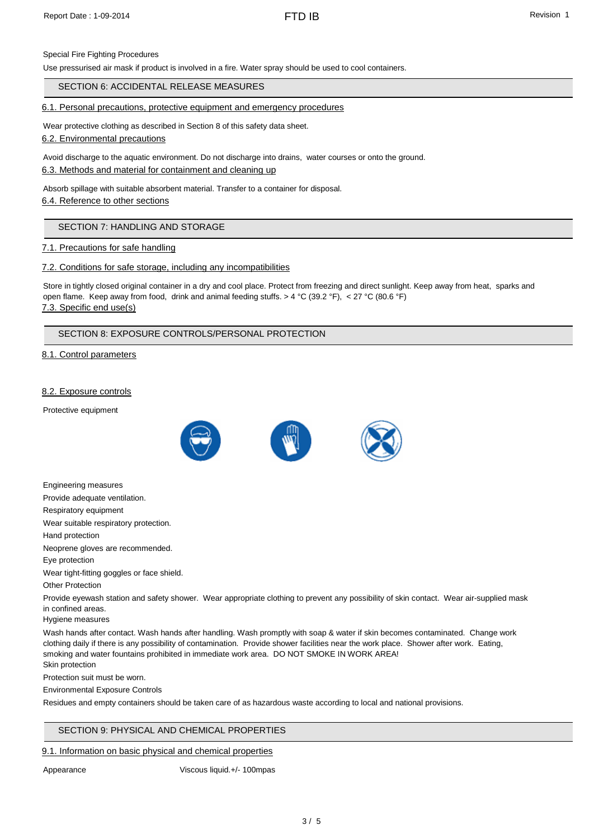## Special Fire Fighting Procedures

Use pressurised air mask if product is involved in a fire. Water spray should be used to cool containers.

SECTION 6: ACCIDENTAL RELEASE MEASURES

### 6.1. Personal precautions, protective equipment and emergency procedures

Wear protective clothing as described in Section 8 of this safety data sheet.

6.2. Environmental precautions

Avoid discharge to the aquatic environment. Do not discharge into drains, water courses or onto the ground.

6.3. Methods and material for containment and cleaning up

Absorb spillage with suitable absorbent material. Transfer to a container for disposal.

6.4. Reference to other sections

## SECTION 7: HANDLING AND STORAGE

## 7.1. Precautions for safe handling

## 7.2. Conditions for safe storage, including any incompatibilities

Store in tightly closed original container in a dry and cool place. Protect from freezing and direct sunlight. Keep away from heat, sparks and open flame. Keep away from food, drink and animal feeding stuffs. > 4 °C (39.2 °F), < 27 °C (80.6 °F) 7.3. Specific end use(s)

# SECTION 8: EXPOSURE CONTROLS/PERSONAL PROTECTION

## 8.1. Control parameters

## 8.2. Exposure controls

Protective equipment



Engineering measures

Provide adequate ventilation.

Respiratory equipment

Wear suitable respiratory protection.

Hand protection

Neoprene gloves are recommended.

Eye protection

Wear tight-fitting goggles or face shield.

Other Protection

Provide eyewash station and safety shower. Wear appropriate clothing to prevent any possibility of skin contact. Wear air-supplied mask in confined areas.

Hygiene measures

Wash hands after contact. Wash hands after handling. Wash promptly with soap & water if skin becomes contaminated. Change work clothing daily if there is any possibility of contamination. Provide shower facilities near the work place. Shower after work. Eating, smoking and water fountains prohibited in immediate work area. DO NOT SMOKE IN WORK AREA! Skin protection

Protection suit must be worn.

Environmental Exposure Controls

Residues and empty containers should be taken care of as hazardous waste according to local and national provisions.

### SECTION 9: PHYSICAL AND CHEMICAL PROPERTIES

### 9.1. Information on basic physical and chemical properties

Appearance Viscous liquid.+/- 100mpas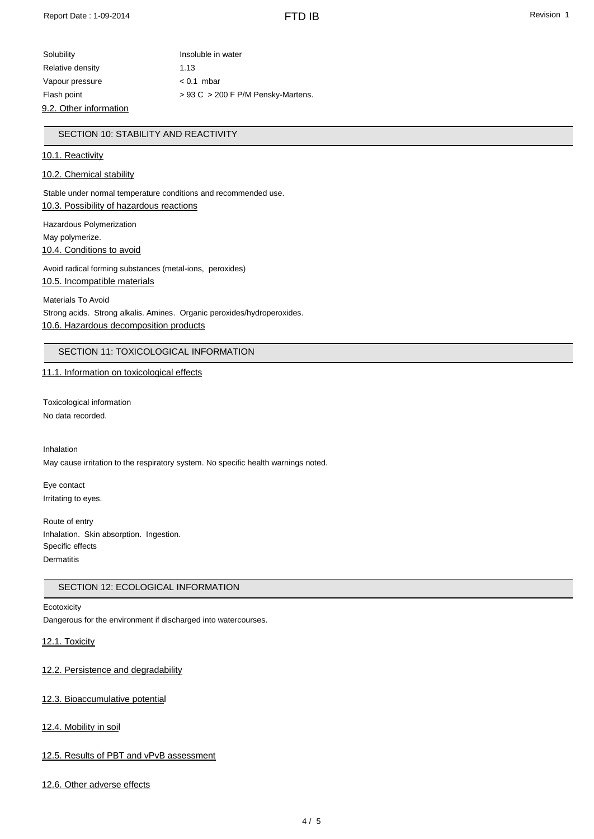| Solubility             | Insoluble in water                     |
|------------------------|----------------------------------------|
| Relative density       | 1.13                                   |
| Vapour pressure        | $< 0.1$ mbar                           |
| Flash point            | $> 93$ C $> 200$ F P/M Pensky-Martens. |
| 9.2. Other information |                                        |

## SECTION 10: STABILITY AND REACTIVITY

#### 10.1. Reactivity

#### 10.2. Chemical stability

Stable under normal temperature conditions and recommended use. 10.3. Possibility of hazardous reactions

Hazardous Polymerization May polymerize. 10.4. Conditions to avoid

Avoid radical forming substances (metal-ions, peroxides) 10.5. Incompatible materials

Materials To Avoid Strong acids. Strong alkalis. Amines. Organic peroxides/hydroperoxides. 10.6. Hazardous decomposition products

## SECTION 11: TOXICOLOGICAL INFORMATION

#### 11.1. Information on toxicological effects

Toxicological information No data recorded.

Inhalation May cause irritation to the respiratory system. No specific health warnings noted.

Eye contact Irritating to eyes.

Route of entry Inhalation. Skin absorption. Ingestion. Specific effects **Dermatitis** 

#### SECTION 12: ECOLOGICAL INFORMATION

#### **Ecotoxicity**

Dangerous for the environment if discharged into watercourses.

### 12.1. Toxicity

12.2. Persistence and degradability

#### 12.3. Bioaccumulative potential

#### 12.4. Mobility in soil

#### 12.5. Results of PBT and vPvB assessment

12.6. Other adverse effects